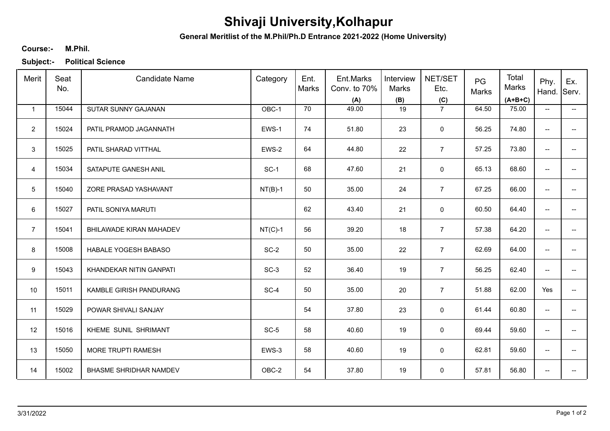## **Shivaji University,Kolhapur**

**General Meritlist of the M.Phil/Ph.D Entrance 2021-2022 (Home University)**

## **M.Phil. Course:-**

**Subject:- Political Science**

| Merit          | Seat<br>No. | <b>Candidate Name</b>         | Category  | Ent.<br>Marks | Ent.Marks<br>Conv. to 70%<br>(A) | Interview<br>Marks<br>(B) | NET/SET<br>Etc.<br>(C) | PG<br>Marks | Total<br>Marks<br>$(A+B+C)$ | Phy.<br>Hand. Serv.      | Ex.                      |
|----------------|-------------|-------------------------------|-----------|---------------|----------------------------------|---------------------------|------------------------|-------------|-----------------------------|--------------------------|--------------------------|
| $\mathbf{1}$   | 15044       | SUTAR SUNNY GAJANAN           | OBC-1     | 70            | 49.00                            | 19                        | $\overline{7}$         | 64.50       | 75.00                       | $\overline{\phantom{a}}$ | $\overline{\phantom{a}}$ |
| $\overline{2}$ | 15024       | PATIL PRAMOD JAGANNATH        | EWS-1     | 74            | 51.80                            | 23                        | 0                      | 56.25       | 74.80                       | $\overline{\phantom{a}}$ | --                       |
| 3              | 15025       | PATIL SHARAD VITTHAL          | EWS-2     | 64            | 44.80                            | 22                        | $\overline{7}$         | 57.25       | 73.80                       | $\overline{\phantom{a}}$ | $- -$                    |
| $\overline{4}$ | 15034       | SATAPUTE GANESH ANIL          | $SC-1$    | 68            | 47.60                            | 21                        | $\mathbf 0$            | 65.13       | 68.60                       | $\overline{\phantom{a}}$ | $\overline{a}$           |
| 5              | 15040       | ZORE PRASAD YASHAVANT         | $NT(B)-1$ | 50            | 35.00                            | 24                        | $\overline{7}$         | 67.25       | 66.00                       | $\overline{\phantom{a}}$ | --                       |
| 6              | 15027       | PATIL SONIYA MARUTI           |           | 62            | 43.40                            | 21                        | 0                      | 60.50       | 64.40                       | $\overline{\phantom{a}}$ | --                       |
| $\overline{7}$ | 15041       | BHILAWADE KIRAN MAHADEV       | $NT(C)-1$ | 56            | 39.20                            | 18                        | $\overline{7}$         | 57.38       | 64.20                       | $\overline{\phantom{a}}$ | --                       |
| 8              | 15008       | HABALE YOGESH BABASO          | $SC-2$    | 50            | 35.00                            | 22                        | $\overline{7}$         | 62.69       | 64.00                       | $\overline{\phantom{a}}$ | -−                       |
| 9              | 15043       | KHANDEKAR NITIN GANPATI       | $SC-3$    | 52            | 36.40                            | 19                        | $\overline{7}$         | 56.25       | 62.40                       | $\overline{\phantom{a}}$ | --                       |
| 10             | 15011       | KAMBLE GIRISH PANDURANG       | SC-4      | 50            | 35.00                            | 20                        | $\overline{7}$         | 51.88       | 62.00                       | Yes                      | -−                       |
| 11             | 15029       | POWAR SHIVALI SANJAY          |           | 54            | 37.80                            | 23                        | $\mathbf 0$            | 61.44       | 60.80                       | $\overline{\phantom{a}}$ | ÷                        |
| 12             | 15016       | KHEME SUNIL SHRIMANT          | $SC-5$    | 58            | 40.60                            | 19                        | 0                      | 69.44       | 59.60                       | $\overline{a}$           | --                       |
| 13             | 15050       | MORE TRUPTI RAMESH            | EWS-3     | 58            | 40.60                            | 19                        | 0                      | 62.81       | 59.60                       | $\overline{\phantom{a}}$ | --                       |
| 14             | 15002       | <b>BHASME SHRIDHAR NAMDEV</b> | OBC-2     | 54            | 37.80                            | 19                        | $\mathbf 0$            | 57.81       | 56.80                       | $\qquad \qquad -$        | --                       |